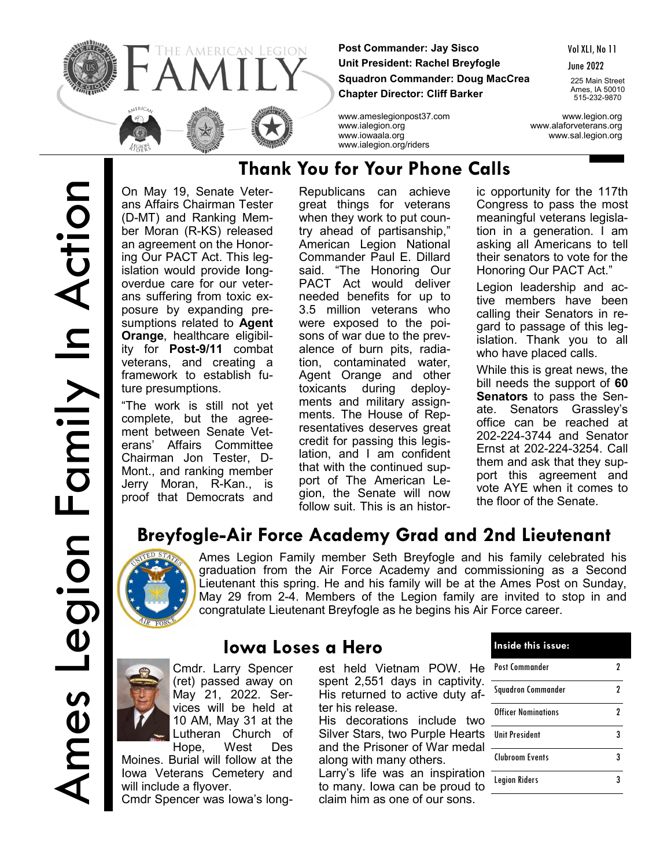

**Post Commander: Jay Sisco Unit President: Rachel Breyfogle Squadron Commander: Doug MacCrea Chapter Director: Cliff Barker**

Vol XLI, No 11

June 2022

225 Main Street Ames, IA 50010 515-232-9870

www.ameslegionpost37.com www.legion.org www.ialegion.org www.alaforveterans.org www.iowaala.org www.sal.legion.org

On May 19, Senate Veterans Affairs Chairman Tester (D-MT) and Ranking Member Moran (R-KS) released an agreement on the Honoring Our PACT Act. This legislation would provide **l**ongoverdue care for our veterans suffering from toxic exposure by expanding presumptions related to **Agent Orange**, healthcare eligibility for **Post-9/11** combat veterans, and creating a framework to establish future presumptions.

"The work is still not yet complete, but the agreement between Senate Veterans' Affairs Committee Chairman Jon Tester, D-Mont., and ranking member Jerry Moran, R-Kan., is proof that Democrats and

## **Thank You for Your Phone Calls**

www.ialegion.org/riders

Republicans can achieve great things for veterans when they work to put country ahead of partisanship," American Legion National Commander Paul E. Dillard said. "The Honoring Our PACT Act would deliver needed benefits for up to 3.5 million veterans who were exposed to the poisons of war due to the prevalence of burn pits, radiation, contaminated water, Agent Orange and other toxicants during deployments and military assignments. The House of Representatives deserves great credit for passing this legislation, and I am confident that with the continued support of The American Legion, the Senate will now follow suit. This is an historic opportunity for the 117th Congress to pass the most meaningful veterans legislation in a generation. I am asking all Americans to tell their senators to vote for the Honoring Our PACT Act."

Legion leadership and active members have been calling their Senators in regard to passage of this legislation. Thank you to all who have placed calls.

While this is great news, the bill needs the support of **60 Senators** to pass the Senate. Senators Grassley's office can be reached at 202-224-3744 and Senator Ernst at 202-224-3254. Call them and ask that they support this agreement and vote AYE when it comes to the floor of the Senate.

# **Breyfogle-Air Force Academy Grad and 2nd Lieutenant**



Ames Legion Family member Seth Breyfogle and his family celebrated his graduation from the Air Force Academy and commissioning as a Second Lieutenant this spring. He and his family will be at the Ames Post on Sunday, May 29 from 2-4. Members of the Legion family are invited to stop in and congratulate Lieutenant Breyfogle as he begins his Air Force career.

Cmdr. Larry Spencer (ret) passed away on May 21, 2022. Services will be held at 10 AM, May 31 at the Lutheran Church of Hope, West Des

Moines. Burial will follow at the Iowa Veterans Cemetery and will include a flyover.

Cmdr Spencer was Iowa's long-

# est held Vietnam POW. He

**Iowa Loses a Hero**

spent 2,551 days in captivity. His returned to active duty after his release.

His decorations include two Silver Stars, two Purple Hearts and the Prisoner of War medal along with many others.

Larry's life was an inspiration to many. Iowa can be proud to claim him as one of our sons.

| Inside this issue:         |   |
|----------------------------|---|
| Post Commander             |   |
| Squadron Commander         | 2 |
| <b>Officer Nominations</b> | 2 |
| <b>Ilnit President</b>     |   |
| Clubroom Events            | 3 |
| <b>Legion Riders</b>       |   |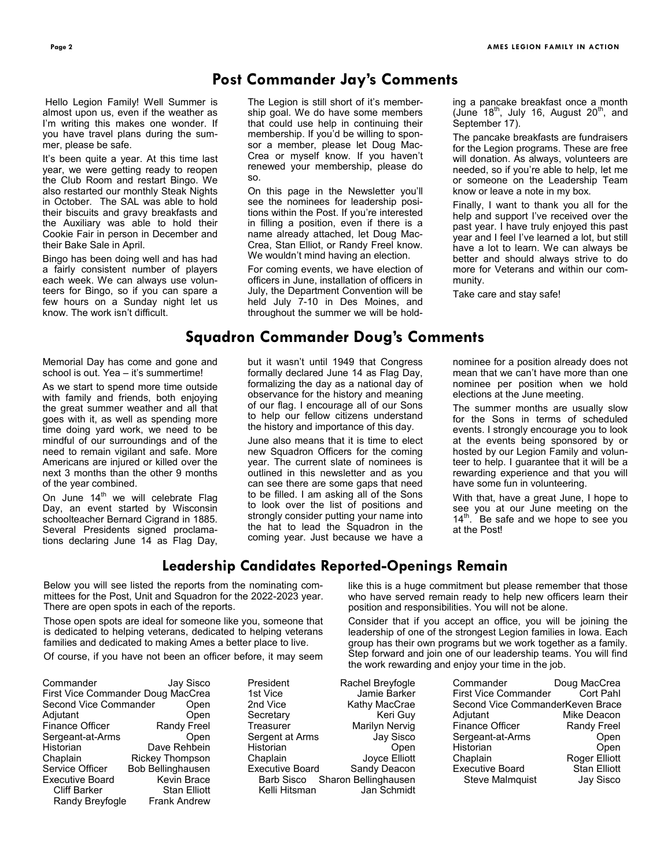#### **Post Commander Jay's Comments**

Hello Legion Family! Well Summer is almost upon us, even if the weather as I'm writing this makes one wonder. If you have travel plans during the summer, please be safe.

It's been quite a year. At this time last year, we were getting ready to reopen the Club Room and restart Bingo. We also restarted our monthly Steak Nights in October. The SAL was able to hold their biscuits and gravy breakfasts and the Auxiliary was able to hold their Cookie Fair in person in December and their Bake Sale in April.

Bingo has been doing well and has had a fairly consistent number of players each week. We can always use volunteers for Bingo, so if you can spare a few hours on a Sunday night let us know. The work isn't difficult.

The Legion is still short of it's membership goal. We do have some members that could use help in continuing their membership. If you'd be willing to sponsor a member, please let Doug Mac-Crea or myself know. If you haven't renewed your membership, please do so.

On this page in the Newsletter you'll see the nominees for leadership positions within the Post. If you're interested in filling a position, even if there is a name already attached, let Doug Mac-Crea, Stan Elliot, or Randy Freel know. We wouldn't mind having an election.

For coming events, we have election of officers in June, installation of officers in July, the Department Convention will be held July 7-10 in Des Moines, and throughout the summer we will be holding a pancake breakfast once a month (June  $18^{th}$ , July 16, August  $20^{th}$ , and September 17).

The pancake breakfasts are fundraisers for the Legion programs. These are free will donation. As always, volunteers are needed, so if you're able to help, let me or someone on the Leadership Team know or leave a note in my box.

Finally, I want to thank you all for the help and support I've received over the past year. I have truly enjoyed this past year and I feel I've learned a lot, but still have a lot to learn. We can always be better and should always strive to do more for Veterans and within our community.

Take care and stay safe!

#### **Squadron Commander Doug's Comments**

Memorial Day has come and gone and school is out. Yea – it's summertime!

As we start to spend more time outside with family and friends, both enjoying the great summer weather and all that goes with it, as well as spending more time doing yard work, we need to be mindful of our surroundings and of the need to remain vigilant and safe. More Americans are injured or killed over the next 3 months than the other 9 months of the year combined.

On June  $14<sup>th</sup>$  we will celebrate Flag Day, an event started by Wisconsin schoolteacher Bernard Cigrand in 1885. Several Presidents signed proclamations declaring June 14 as Flag Day, but it wasn't until 1949 that Congress formally declared June 14 as Flag Day, formalizing the day as a national day of observance for the history and meaning of our flag. I encourage all of our Sons to help our fellow citizens understand the history and importance of this day.

June also means that it is time to elect new Squadron Officers for the coming year. The current slate of nominees is outlined in this newsletter and as you can see there are some gaps that need to be filled. I am asking all of the Sons to look over the list of positions and strongly consider putting your name into the hat to lead the Squadron in the coming year. Just because we have a nominee for a position already does not mean that we can't have more than one nominee per position when we hold elections at the June meeting.

The summer months are usually slow for the Sons in terms of scheduled events. I strongly encourage you to look at the events being sponsored by or hosted by our Legion Family and volunteer to help. I guarantee that it will be a rewarding experience and that you will have some fun in volunteering.

With that, have a great June, I hope to see you at our June meeting on the 14<sup>th</sup>. Be safe and we hope to see you Be safe and we hope to see you at the Post!

#### **Leadership Candidates Reported-Openings Remain**

Below you will see listed the reports from the nominating committees for the Post, Unit and Squadron for the 2022-2023 year. There are open spots in each of the reports.

Those open spots are ideal for someone like you, someone that is dedicated to helping veterans, dedicated to helping veterans families and dedicated to making Ames a better place to live.

Of course, if you have not been an officer before, it may seem

| Commander              | Jay Sisco                         |
|------------------------|-----------------------------------|
|                        | First Vice Commander Doug MacCrea |
| Second Vice Commander  | Open                              |
| Adjutant               | Open                              |
| <b>Finance Officer</b> | <b>Randy Freel</b>                |
| Sergeant-at-Arms       | Open                              |
| Historian              | Dave Rehbein                      |
| Chaplain               | <b>Rickey Thompson</b>            |
| Service Officer        | <b>Bob Bellinghausen</b>          |
| <b>Executive Board</b> | Kevin Brace                       |
| <b>Cliff Barker</b>    | <b>Stan Elliott</b>               |
| Randy Breyfogle        | <b>Frank Andrew</b>               |

President Rachel B 1st Vice Jam<br>1st Vice 2nd Vice Kathy 2nd Vice Secretary Treasurer Marily Sergent at Arms Historian Chaplain Joy Executive Board Sandy Barb Sisco Sharon Bellin Kelli Hitsman Jan Schmidt

like this is a huge commitment but please remember that those who have served remain ready to help new officers learn their position and responsibilities. You will not be alone.

Consider that if you accept an office, you will be joining the leadership of one of the strongest Legion families in Iowa. Each group has their own programs but we work together as a family. Step forward and join one of our leadership teams. You will find the work rewarding and enjoy your time in the job.

| Breyfogle       | Commander                        | Doug MacCrea         |
|-----------------|----------------------------------|----------------------|
| ie Barker       | <b>First Vice Commander</b>      | Cort Pahl            |
| MacCrae         | Second Vice CommanderKeven Brace |                      |
| Keri Guy        | Adjutant                         | Mike Deacon          |
| yn Nerviq       | <b>Finance Officer</b>           | Randy Freel          |
| Jay Sisco       | Sergeant-at-Arms                 | Open                 |
| Open            | Historian                        | Open                 |
| ⁄ce Elliott     | Chaplain                         | <b>Roger Elliott</b> |
| v Deacon        | <b>Executive Board</b>           | <b>Stan Elliott</b>  |
| ghausen         | <b>Steve Malmquist</b>           | Jay Sisco            |
| $\Omega$ chmidt |                                  |                      |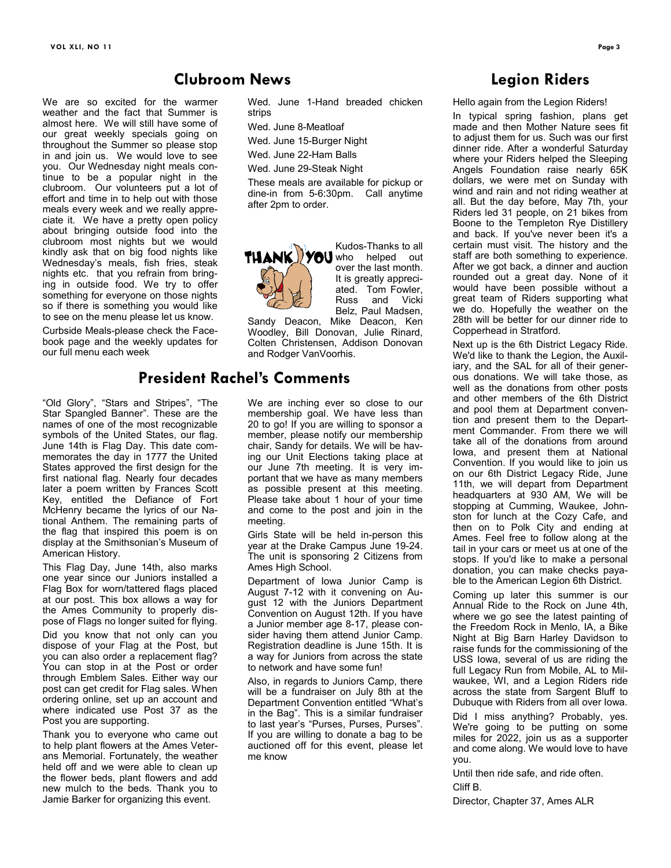We are so excited for the warmer weather and the fact that Summer is almost here. We will still have some of our great weekly specials going on throughout the Summer so please stop in and join us. We would love to see you. Our Wednesday night meals continue to be a popular night in the clubroom. Our volunteers put a lot of effort and time in to help out with those meals every week and we really appreciate it. We have a pretty open policy about bringing outside food into the clubroom most nights but we would kindly ask that on big food nights like Wednesday's meals, fish fries, steak nights etc. that you refrain from bringing in outside food. We try to offer something for everyone on those nights so if there is something you would like to see on the menu please let us know.

Curbside Meals-please check the Facebook page and the weekly updates for our full menu each week

"Old Glory", "Stars and Stripes", "The Star Spangled Banner". These are the names of one of the most recognizable symbols of the United States, our flag. June 14th is Flag Day. This date commemorates the day in 1777 the United States approved the first design for the first national flag. Nearly four decades later a poem written by Frances Scott Key, entitled the Defiance of Fort McHenry became the lyrics of our National Anthem. The remaining parts of the flag that inspired this poem is on display at the Smithsonian's Museum of American History.

This Flag Day, June 14th, also marks one year since our Juniors installed a Flag Box for worn/tattered flags placed at our post. This box allows a way for the Ames Community to properly dispose of Flags no longer suited for flying.

Did you know that not only can you dispose of your Flag at the Post, but you can also order a replacement flag? You can stop in at the Post or order through Emblem Sales. Either way our post can get credit for Flag sales. When ordering online, set up an account and where indicated use Post 37 as the Post you are supporting.

Thank you to everyone who came out to help plant flowers at the Ames Veterans Memorial. Fortunately, the weather held off and we were able to clean up the flower beds, plant flowers and add new mulch to the beds. Thank you to Jamie Barker for organizing this event.

Wed. June 1-Hand breaded chicken strips

Wed. June 8-Meatloaf

Wed. June 15-Burger Night

Wed. June 22-Ham Balls Wed. June 29-Steak Night

These meals are available for pickup or dine-in from 5-6:30pm. Call anytime after 2pm to order.



Kudos-Thanks to all **THANK YOU** who helped out over the last month. It is greatly appreciated. Tom Fowler, Russ and Vicki Belz, Paul Madsen,

Sandy Deacon, Mike Deacon, Ken Woodley, Bill Donovan, Julie Rinard, Colten Christensen, Addison Donovan and Rodger VanVoorhis.

#### **President Rachel's Comments**

**Clubroom News**

We are inching ever so close to our membership goal. We have less than 20 to go! If you are willing to sponsor a member, please notify our membership chair, Sandy for details. We will be having our Unit Elections taking place at our June 7th meeting. It is very important that we have as many members as possible present at this meeting. Please take about 1 hour of your time and come to the post and join in the meeting.

Girls State will be held in-person this year at the Drake Campus June 19-24. The unit is sponsoring 2 Citizens from Ames High School.

Department of Iowa Junior Camp is August 7-12 with it convening on August 12 with the Juniors Department Convention on August 12th. If you have a Junior member age 8-17, please consider having them attend Junior Camp. Registration deadline is June 15th. It is a way for Juniors from across the state to network and have some fun!

Also, in regards to Juniors Camp, there will be a fundraiser on July 8th at the Department Convention entitled "What's in the Bag". This is a similar fundraiser to last year's "Purses, Purses, Purses". If you are willing to donate a bag to be auctioned off for this event, please let me know

#### **Legion Riders**

Hello again from the Legion Riders!

In typical spring fashion, plans get made and then Mother Nature sees fit to adjust them for us. Such was our first dinner ride. After a wonderful Saturday where your Riders helped the Sleeping Angels Foundation raise nearly 65K dollars, we were met on Sunday with wind and rain and not riding weather at all. But the day before, May 7th, your Riders led 31 people, on 21 bikes from Boone to the Templeton Rye Distillery and back. If you've never been it's a certain must visit. The history and the staff are both something to experience. After we got back, a dinner and auction rounded out a great day. None of it would have been possible without a great team of Riders supporting what we do. Hopefully the weather on the 28th will be better for our dinner ride to Copperhead in Stratford.

Next up is the 6th District Legacy Ride. We'd like to thank the Legion, the Auxiliary, and the SAL for all of their generous donations. We will take those, as well as the donations from other posts and other members of the 6th District and pool them at Department convention and present them to the Department Commander. From there we will take all of the donations from around Iowa, and present them at National Convention. If you would like to join us on our 6th District Legacy Ride, June 11th, we will depart from Department headquarters at 930 AM, We will be stopping at Cumming, Waukee, Johnston for lunch at the Cozy Cafe, and then on to Polk City and ending at Ames. Feel free to follow along at the tail in your cars or meet us at one of the stops. If you'd like to make a personal donation, you can make checks payable to the American Legion 6th District.

Coming up later this summer is our Annual Ride to the Rock on June 4th, where we go see the latest painting of the Freedom Rock in Menlo, IA, a Bike Night at Big Barn Harley Davidson to raise funds for the commissioning of the USS Iowa, several of us are riding the full Legacy Run from Mobile, AL to Milwaukee, WI, and a Legion Riders ride across the state from Sargent Bluff to Dubuque with Riders from all over Iowa.

Did I miss anything? Probably, yes. We're going to be putting on some miles for 2022, join us as a supporter and come along. We would love to have you.

Until then ride safe, and ride often. Cliff B.

Director, Chapter 37, Ames ALR